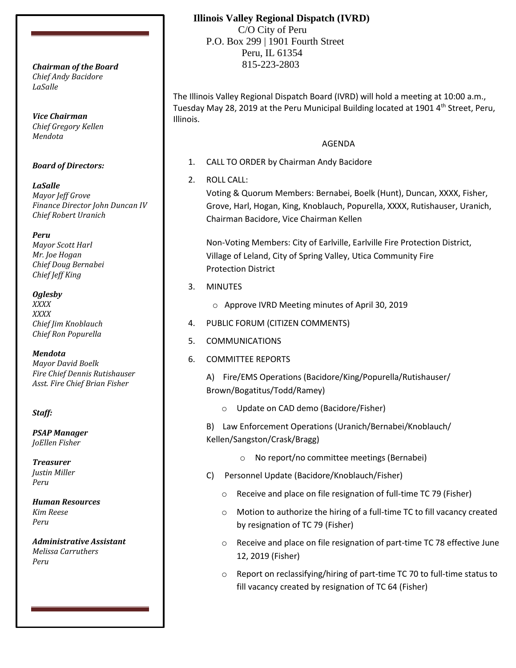*Chief Andy Bacidore LaSalle*

*Vice Chairman Chief Gregory Kellen Mendota*

#### *Board of Directors:*

*LaSalle Mayor Jeff Grove Finance Director John Duncan IV Chief Robert Uranich*

*Peru*

*Mayor Scott Harl Mr. Joe Hogan Chief Doug Bernabei Chief Jeff King*

*Oglesby*

*XXXX XXXX Chief Jim Knoblauch Chief Ron Popurella*

*Mendota Mayor David Boelk Fire Chief Dennis Rutishauser Asst. Fire Chief Brian Fisher*

### *Staff:*

*PSAP Manager JoEllen Fisher*

*Treasurer Justin Miller Peru*

*Human Resources Kim Reese Peru*

*Administrative Assistant Melissa Carruthers Peru*

## **Illinois Valley Regional Dispatch (IVRD)**

 C/O City of Peru P.O. Box 299 | 1901 Fourth Street Peru, IL 61354 815-223-2803 *Chairman of the Board*

> The Illinois Valley Regional Dispatch Board (IVRD) will hold a meeting at 10:00 a.m., Tuesday May 28, 2019 at the Peru Municipal Building located at 1901 4<sup>th</sup> Street, Peru, Illinois.

### AGENDA

1. CALL TO ORDER by Chairman Andy Bacidore

2. ROLL CALL:

Voting & Quorum Members: Bernabei, Boelk (Hunt), Duncan, XXXX, Fisher, Grove, Harl, Hogan, King, Knoblauch, Popurella, XXXX, Rutishauser, Uranich, Chairman Bacidore, Vice Chairman Kellen

Non-Voting Members: City of Earlville, Earlville Fire Protection District, Village of Leland, City of Spring Valley, Utica Community Fire Protection District

- 3. MINUTES
	- o Approve IVRD Meeting minutes of April 30, 2019
- 4. PUBLIC FORUM (CITIZEN COMMENTS)
- 5. COMMUNICATIONS
- 6. COMMITTEE REPORTS

A) Fire/EMS Operations (Bacidore/King/Popurella/Rutishauser/ Brown/Bogatitus/Todd/Ramey)

o Update on CAD demo (Bacidore/Fisher)

B) Law Enforcement Operations (Uranich/Bernabei/Knoblauch/ Kellen/Sangston/Crask/Bragg)

- o No report/no committee meetings (Bernabei)
- C) Personnel Update (Bacidore/Knoblauch/Fisher)
	- o Receive and place on file resignation of full-time TC 79 (Fisher)
	- o Motion to authorize the hiring of a full-time TC to fill vacancy created by resignation of TC 79 (Fisher)
	- o Receive and place on file resignation of part-time TC 78 effective June 12, 2019 (Fisher)
	- o Report on reclassifying/hiring of part-time TC 70 to full-time status to fill vacancy created by resignation of TC 64 (Fisher)